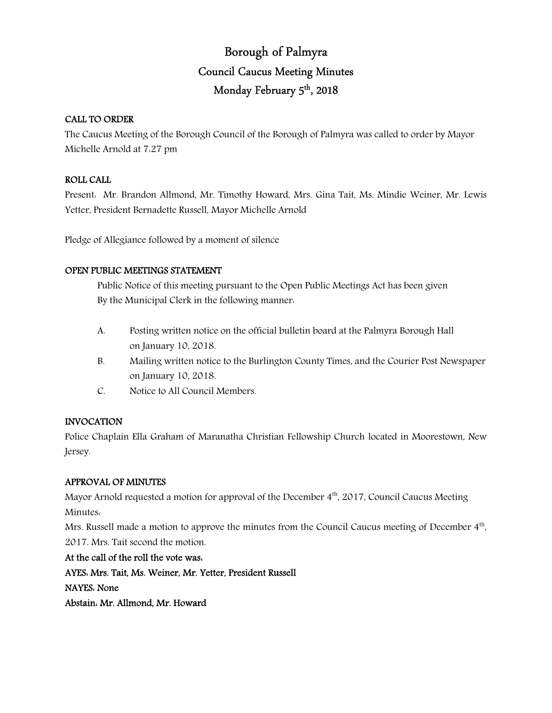# Borough of Palmyra Council Caucus Meeting Minutes Monday February 5<sup>th</sup>, 2018

# CALL TO ORDER

The Caucus Meeting of the Borough Council of the Borough of Palmyra was called to order by Mayor Michelle Arnold at 7:27 pm

### ROLL CALL

Present: Mr. Brandon Allmond, Mr. Timothy Howard, Mrs. Gina Tait, Ms. Mindie Weiner, Mr. Lewis Yetter, President Bernadette Russell, Mayor Michelle Arnold

Pledge of Allegiance followed by a moment of silence

### OPEN PUBLIC MEETINGS STATEMENT

 Public Notice of this meeting pursuant to the Open Public Meetings Act has been given By the Municipal Clerk in the following manner:

- A. Posting written notice on the official bulletin board at the Palmyra Borough Hall on January 10, 2018.
- B. Mailing written notice to the Burlington County Times, and the Courier Post Newspaper on January 10, 2018.
- C. Notice to All Council Members.

# INVOCATION

Police Chaplain Ella Graham of Maranatha Christian Fellowship Church located in Moorestown, New Jersey.

# APPROVAL OF MINUTES

Mayor Arnold requested a motion for approval of the December 4<sup>th</sup>, 2017, Council Caucus Meeting Minutes:

Mrs. Russell made a motion to approve the minutes from the Council Caucus meeting of December  $4<sup>th</sup>$ , 2017. Mrs. Tait second the motion.

At the call of the roll the vote was: AYES: Mrs. Tait, Ms. Weiner, Mr. Yetter, President Russell NAYES: None Abstain: Mr. Allmond, Mr. Howard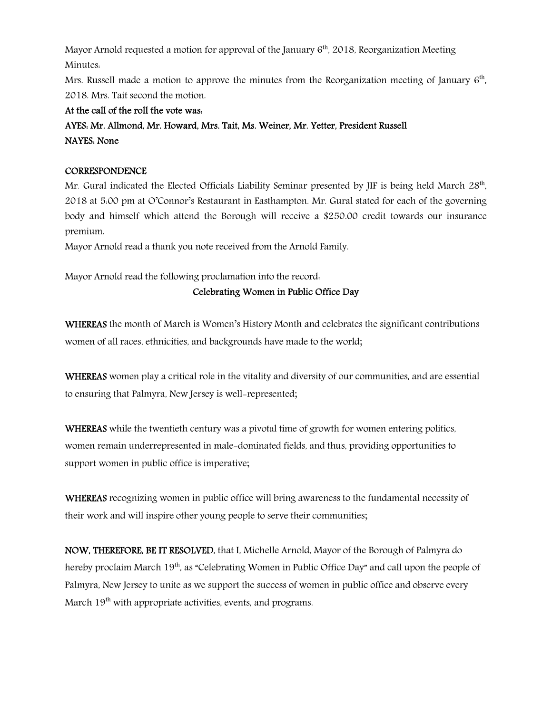Mayor Arnold requested a motion for approval of the January  $6<sup>th</sup>$ , 2018, Reorganization Meeting Minutes:

Mrs. Russell made a motion to approve the minutes from the Reorganization meeting of January  $6<sup>th</sup>$ , 2018. Mrs. Tait second the motion.

At the call of the roll the vote was:

AYES: Mr. Allmond, Mr. Howard, Mrs. Tait, Ms. Weiner, Mr. Yetter, President Russell NAYES: None

# **CORRESPONDENCE**

Mr. Gural indicated the Elected Officials Liability Seminar presented by JIF is being held March  $28^{\text{th}}$ , 2018 at 5:00 pm at O'Connor's Restaurant in Easthampton. Mr. Gural stated for each of the governing body and himself which attend the Borough will receive a \$250.00 credit towards our insurance premium.

Mayor Arnold read a thank you note received from the Arnold Family.

Mayor Arnold read the following proclamation into the record:

# Celebrating Women in Public Office Day

WHEREAS the month of March is Women's History Month and celebrates the significant contributions women of all races, ethnicities, and backgrounds have made to the world;

WHEREAS women play a critical role in the vitality and diversity of our communities, and are essential to ensuring that Palmyra, New Jersey is well-represented;

WHEREAS while the twentieth century was a pivotal time of growth for women entering politics, women remain underrepresented in male-dominated fields, and thus, providing opportunities to support women in public office is imperative;

WHEREAS recognizing women in public office will bring awareness to the fundamental necessity of their work and will inspire other young people to serve their communities;

NOW, THEREFORE, BE IT RESOLVED, that I, Michelle Arnold, Mayor of the Borough of Palmyra do hereby proclaim March 19<sup>th</sup>, as "Celebrating Women in Public Office Day" and call upon the people of Palmyra, New Jersey to unite as we support the success of women in public office and observe every March  $19<sup>th</sup>$  with appropriate activities, events, and programs.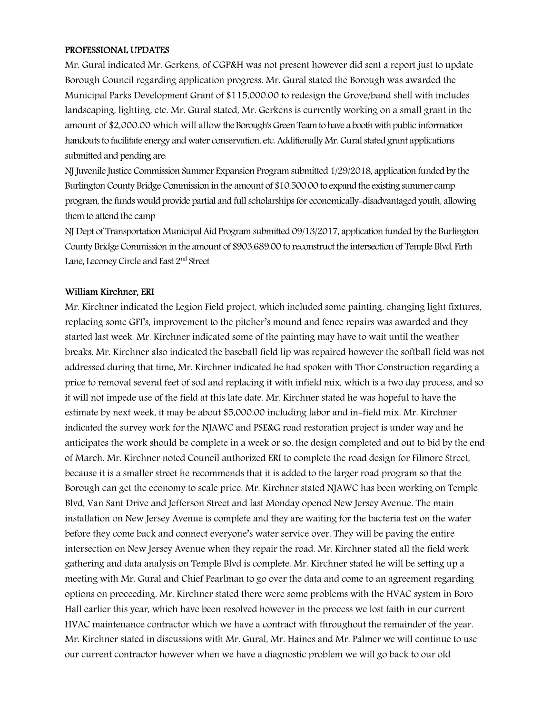#### PROFESSIONAL UPDATES

Mr. Gural indicated Mr. Gerkens, of CGP&H was not present however did sent a report just to update Borough Council regarding application progress. Mr. Gural stated the Borough was awarded the Municipal Parks Development Grant of \$115,000.00 to redesign the Grove/band shell with includes landscaping, lighting, etc. Mr. Gural stated, Mr. Gerkens is currently working on a small grant in the amount of \$2,000.00 which will allow the Borough's Green Team to have a booth with public information handouts to facilitate energy and water conservation, etc. Additionally Mr. Gural stated grant applications submitted and pending are:

NJ Juvenile Justice Commission Summer Expansion Program submitted 1/29/2018, application funded by the Burlington County Bridge Commission in the amount of \$10,500.00 to expand the existing summer camp program, the funds would provide partial and full scholarships for economically-disadvantaged youth, allowing them to attend the camp

NJ Dept of Transportation Municipal Aid Program submitted 09/13/2017, application funded by the Burlington County Bridge Commission in the amount of \$903,689.00 to reconstruct the intersection of Temple Blvd, Firth Lane, Leconey Circle and East 2<sup>nd</sup> Street

#### William Kirchner, ERI

Mr. Kirchner indicated the Legion Field project, which included some painting, changing light fixtures, replacing some GFI's, improvement to the pitcher's mound and fence repairs was awarded and they started last week. Mr. Kirchner indicated some of the painting may have to wait until the weather breaks. Mr. Kirchner also indicated the baseball field lip was repaired however the softball field was not addressed during that time, Mr. Kirchner indicated he had spoken with Thor Construction regarding a price to removal several feet of sod and replacing it with infield mix, which is a two day process, and so it will not impede use of the field at this late date. Mr. Kirchner stated he was hopeful to have the estimate by next week, it may be about \$5,000.00 including labor and in-field mix. Mr. Kirchner indicated the survey work for the NJAWC and PSE&G road restoration project is under way and he anticipates the work should be complete in a week or so, the design completed and out to bid by the end of March. Mr. Kirchner noted Council authorized ERI to complete the road design for Filmore Street, because it is a smaller street he recommends that it is added to the larger road program so that the Borough can get the economy to scale price. Mr. Kirchner stated NJAWC has been working on Temple Blvd, Van Sant Drive and Jefferson Street and last Monday opened New Jersey Avenue. The main installation on New Jersey Avenue is complete and they are waiting for the bacteria test on the water before they come back and connect everyone's water service over. They will be paving the entire intersection on New Jersey Avenue when they repair the road. Mr. Kirchner stated all the field work gathering and data analysis on Temple Blvd is complete. Mr. Kirchner stated he will be setting up a meeting with Mr. Gural and Chief Pearlman to go over the data and come to an agreement regarding options on proceeding. Mr. Kirchner stated there were some problems with the HVAC system in Boro Hall earlier this year, which have been resolved however in the process we lost faith in our current HVAC maintenance contractor which we have a contract with throughout the remainder of the year. Mr. Kirchner stated in discussions with Mr. Gural, Mr. Haines and Mr. Palmer we will continue to use our current contractor however when we have a diagnostic problem we will go back to our old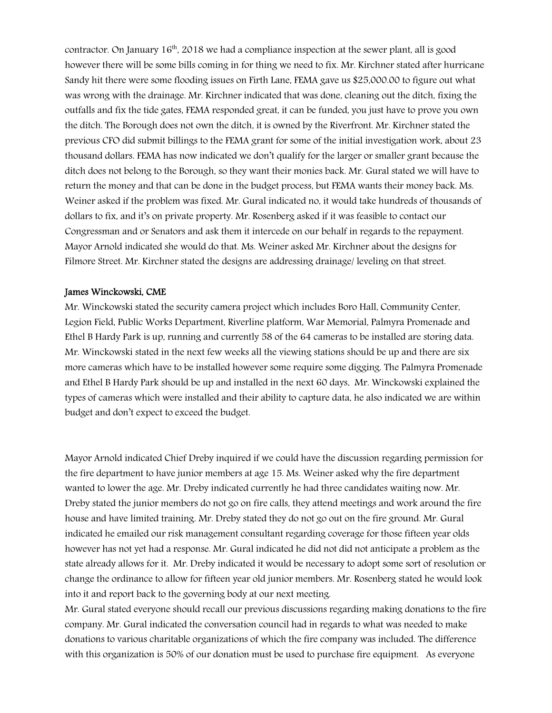contractor. On January  $16<sup>th</sup>$ , 2018 we had a compliance inspection at the sewer plant, all is good however there will be some bills coming in for thing we need to fix. Mr. Kirchner stated after hurricane Sandy hit there were some flooding issues on Firth Lane, FEMA gave us \$25,000.00 to figure out what was wrong with the drainage. Mr. Kirchner indicated that was done, cleaning out the ditch, fixing the outfalls and fix the tide gates, FEMA responded great, it can be funded, you just have to prove you own the ditch. The Borough does not own the ditch, it is owned by the Riverfront. Mr. Kirchner stated the previous CFO did submit billings to the FEMA grant for some of the initial investigation work, about 23 thousand dollars. FEMA has now indicated we don't qualify for the larger or smaller grant because the ditch does not belong to the Borough, so they want their monies back. Mr. Gural stated we will have to return the money and that can be done in the budget process, but FEMA wants their money back. Ms. Weiner asked if the problem was fixed. Mr. Gural indicated no, it would take hundreds of thousands of dollars to fix, and it's on private property. Mr. Rosenberg asked if it was feasible to contact our Congressman and or Senators and ask them it intercede on our behalf in regards to the repayment. Mayor Arnold indicated she would do that. Ms. Weiner asked Mr. Kirchner about the designs for Filmore Street. Mr. Kirchner stated the designs are addressing drainage/ leveling on that street.

#### James Winckowski, CME

Mr. Winckowski stated the security camera project which includes Boro Hall, Community Center, Legion Field, Public Works Department, Riverline platform, War Memorial, Palmyra Promenade and Ethel B Hardy Park is up, running and currently 58 of the 64 cameras to be installed are storing data. Mr. Winckowski stated in the next few weeks all the viewing stations should be up and there are six more cameras which have to be installed however some require some digging. The Palmyra Promenade and Ethel B Hardy Park should be up and installed in the next 60 days. Mr. Winckowski explained the types of cameras which were installed and their ability to capture data, he also indicated we are within budget and don't expect to exceed the budget.

Mayor Arnold indicated Chief Dreby inquired if we could have the discussion regarding permission for the fire department to have junior members at age 15. Ms. Weiner asked why the fire department wanted to lower the age. Mr. Dreby indicated currently he had three candidates waiting now. Mr. Dreby stated the junior members do not go on fire calls, they attend meetings and work around the fire house and have limited training. Mr. Dreby stated they do not go out on the fire ground. Mr. Gural indicated he emailed our risk management consultant regarding coverage for those fifteen year olds however has not yet had a response. Mr. Gural indicated he did not did not anticipate a problem as the state already allows for it. Mr. Dreby indicated it would be necessary to adopt some sort of resolution or change the ordinance to allow for fifteen year old junior members. Mr. Rosenberg stated he would look into it and report back to the governing body at our next meeting.

Mr. Gural stated everyone should recall our previous discussions regarding making donations to the fire company. Mr. Gural indicated the conversation council had in regards to what was needed to make donations to various charitable organizations of which the fire company was included. The difference with this organization is 50% of our donation must be used to purchase fire equipment. As everyone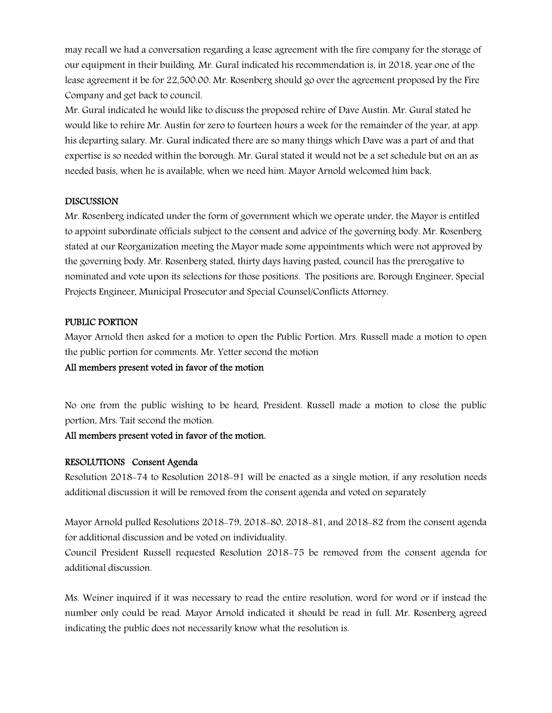may recall we had a conversation regarding a lease agreement with the fire company for the storage of our equipment in their building. Mr. Gural indicated his recommendation is, in 2018, year one of the lease agreement it be for 22,500.00. Mr. Rosenberg should go over the agreement proposed by the Fire Company and get back to council.

Mr. Gural indicated he would like to discuss the proposed rehire of Dave Austin. Mr. Gural stated he would like to rehire Mr. Austin for zero to fourteen hours a week for the remainder of the year, at app. his departing salary. Mr. Gural indicated there are so many things which Dave was a part of and that expertise is so needed within the borough. Mr. Gural stated it would not be a set schedule but on an as needed basis, when he is available, when we need him. Mayor Arnold welcomed him back.

#### DISCUSSION

Mr. Rosenberg indicated under the form of government which we operate under, the Mayor is entitled to appoint subordinate officials subject to the consent and advice of the governing body. Mr. Rosenberg stated at our Reorganization meeting the Mayor made some appointments which were not approved by the governing body. Mr. Rosenberg stated, thirty days having pasted, council has the prerogative to nominated and vote upon its selections for those positions. The positions are, Borough Engineer, Special Projects Engineer, Municipal Prosecutor and Special Counsel/Conflicts Attorney.

### PUBLIC PORTION

Mayor Arnold then asked for a motion to open the Public Portion. Mrs. Russell made a motion to open the public portion for comments. Mr. Yetter second the motion

#### All members present voted in favor of the motion

No one from the public wishing to be heard, President. Russell made a motion to close the public portion, Mrs. Tait second the motion.

#### All members present voted in favor of the motion.

#### RESOLUTIONS Consent Agenda

Resolution 2018-74 to Resolution 2018-91 will be enacted as a single motion, if any resolution needs additional discussion it will be removed from the consent agenda and voted on separately

Mayor Arnold pulled Resolutions 2018-79, 2018-80, 2018-81, and 2018-82 from the consent agenda for additional discussion and be voted on individuality.

Council President Russell requested Resolution 2018-75 be removed from the consent agenda for additional discussion.

Ms. Weiner inquired if it was necessary to read the entire resolution, word for word or if instead the number only could be read. Mayor Arnold indicated it should be read in full. Mr. Rosenberg agreed indicating the public does not necessarily know what the resolution is.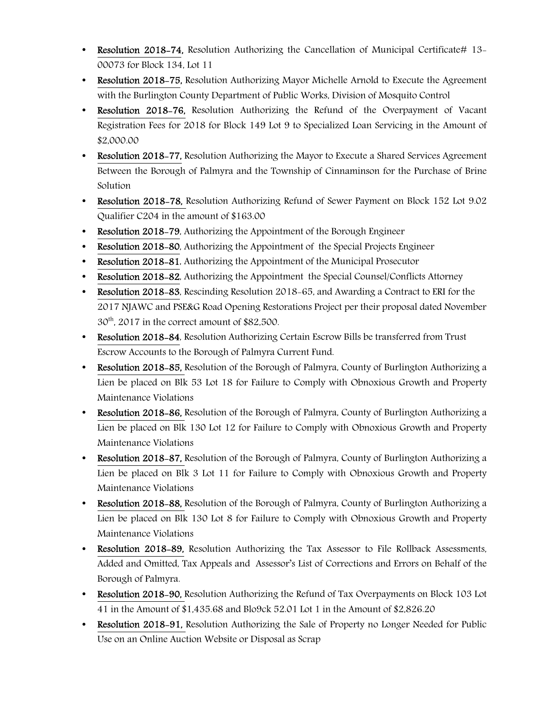- Resolution 2018-74, Resolution Authorizing the Cancellation of Municipal Certificate# 13-00073 for Block 134, Lot 11
- Resolution 2018–75, Resolution Authorizing Mayor Michelle Arnold to Execute the Agreement with the Burlington County Department of Public Works, Division of Mosquito Control
- Resolution 2018-76, Resolution Authorizing the Refund of the Overpayment of Vacant Registration Fees for 2018 for Block 149 Lot 9 to Specialized Loan Servicing in the Amount of \$2,000.00
- Resolution 2018–77, Resolution Authorizing the Mayor to Execute a Shared Services Agreement Between the Borough of Palmyra and the Township of Cinnaminson for the Purchase of Brine Solution
- Resolution 2018-78, Resolution Authorizing Refund of Sewer Payment on Block 152 Lot 9.02 Qualifier C204 in the amount of \$163.00
- Resolution 2018–79, Authorizing the Appointment of the Borough Engineer
- Resolution 2018-80, Authorizing the Appointment of the Special Projects Engineer
- Resolution 2018–81, Authorizing the Appointment of the Municipal Prosecutor
- Resolution 2018-82, Authorizing the Appointment the Special Counsel/Conflicts Attorney
- Resolution 2018–83, Rescinding Resolution 2018–65, and Awarding a Contract to ERI for the 2017 NJAWC and PSE&G Road Opening Restorations Project per their proposal dated November  $30<sup>th</sup>$ , 2017 in the correct amount of \$82,500.
- Resolution 2018-84, Resolution Authorizing Certain Escrow Bills be transferred from Trust Escrow Accounts to the Borough of Palmyra Current Fund.
- Resolution 2018–85, Resolution of the Borough of Palmyra, County of Burlington Authorizing a Lien be placed on Blk 53 Lot 18 for Failure to Comply with Obnoxious Growth and Property Maintenance Violations
- Resolution 2018–86, Resolution of the Borough of Palmyra, County of Burlington Authorizing a Lien be placed on Blk 130 Lot 12 for Failure to Comply with Obnoxious Growth and Property Maintenance Violations
- Resolution 2018–87, Resolution of the Borough of Palmyra, County of Burlington Authorizing a Lien be placed on Blk 3 Lot 11 for Failure to Comply with Obnoxious Growth and Property Maintenance Violations
- Resolution 2018-88, Resolution of the Borough of Palmyra, County of Burlington Authorizing a Lien be placed on Blk 130 Lot 8 for Failure to Comply with Obnoxious Growth and Property Maintenance Violations
- Resolution 2018-89, Resolution Authorizing the Tax Assessor to File Rollback Assessments, Added and Omitted, Tax Appeals and Assessor's List of Corrections and Errors on Behalf of the Borough of Palmyra.
- Resolution 2018-90, Resolution Authorizing the Refund of Tax Overpayments on Block 103 Lot 41 in the Amount of \$1,435.68 and Blo9ck 52.01 Lot 1 in the Amount of \$2,826.20
- Resolution 2018-91, Resolution Authorizing the Sale of Property no Longer Needed for Public Use on an Online Auction Website or Disposal as Scrap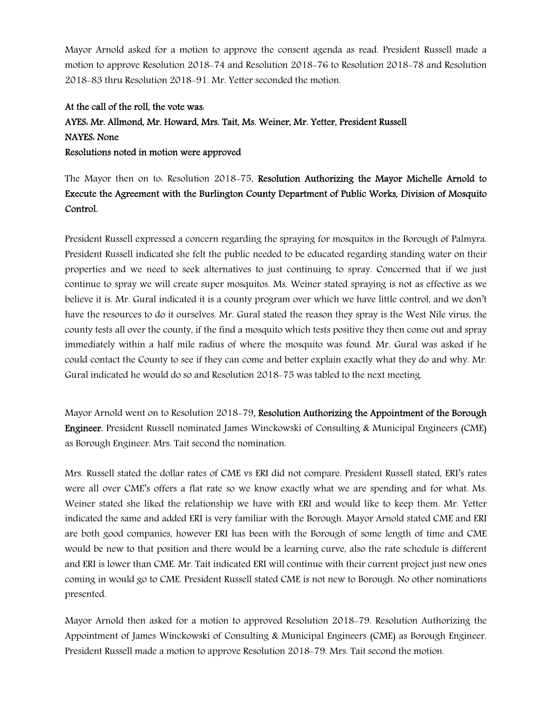Mayor Arnold asked for a motion to approve the consent agenda as read. President Russell made a motion to approve Resolution 2018-74 and Resolution 2018-76 to Resolution 2018-78 and Resolution 2018-83 thru Resolution 2018-91. Mr. Yetter seconded the motion.

# At the call of the roll, the vote was: AYES: Mr. Allmond, Mr. Howard, Mrs. Tait, Ms. Weiner, Mr. Yetter, President Russell NAYES: None Resolutions noted in motion were approved

The Mayor then on to: Resolution 2018-75, Resolution Authorizing the Mayor Michelle Arnold to Execute the Agreement with the Burlington County Department of Public Works, Division of Mosquito Control.

President Russell expressed a concern regarding the spraying for mosquitos in the Borough of Palmyra. President Russell indicated she felt the public needed to be educated regarding standing water on their properties and we need to seek alternatives to just continuing to spray. Concerned that if we just continue to spray we will create super mosquitos. Ms. Weiner stated spraying is not as effective as we believe it is. Mr. Gural indicated it is a county program over which we have little control, and we don't have the resources to do it ourselves. Mr. Gural stated the reason they spray is the West Nile virus, the county tests all over the county, if the find a mosquito which tests positive they then come out and spray immediately within a half mile radius of where the mosquito was found. Mr. Gural was asked if he could contact the County to see if they can come and better explain exactly what they do and why. Mr. Gural indicated he would do so and Resolution 2018-75 was tabled to the next meeting.

Mayor Arnold went on to Resolution 2018-79, Resolution Authorizing the Appointment of the Borough Engineer. President Russell nominated James Winckowski of Consulting & Municipal Engineers (CME) as Borough Engineer. Mrs. Tait second the nomination.

Mrs. Russell stated the dollar rates of CME vs ERI did not compare. President Russell stated, ERI's rates were all over CME's offers a flat rate so we know exactly what we are spending and for what. Ms. Weiner stated she liked the relationship we have with ERI and would like to keep them. Mr. Yetter indicated the same and added ERI is very familiar with the Borough. Mayor Arnold stated CME and ERI are both good companies, however ERI has been with the Borough of some length of time and CME would be new to that position and there would be a learning curve, also the rate schedule is different and ERI is lower than CME. Mr. Tait indicated ERI will continue with their current project just new ones coming in would go to CME. President Russell stated CME is not new to Borough. No other nominations presented.

Mayor Arnold then asked for a motion to approved Resolution 2018-79. Resolution Authorizing the Appointment of James Winckowski of Consulting & Municipal Engineers (CME) as Borough Engineer. President Russell made a motion to approve Resolution 2018-79. Mrs. Tait second the motion.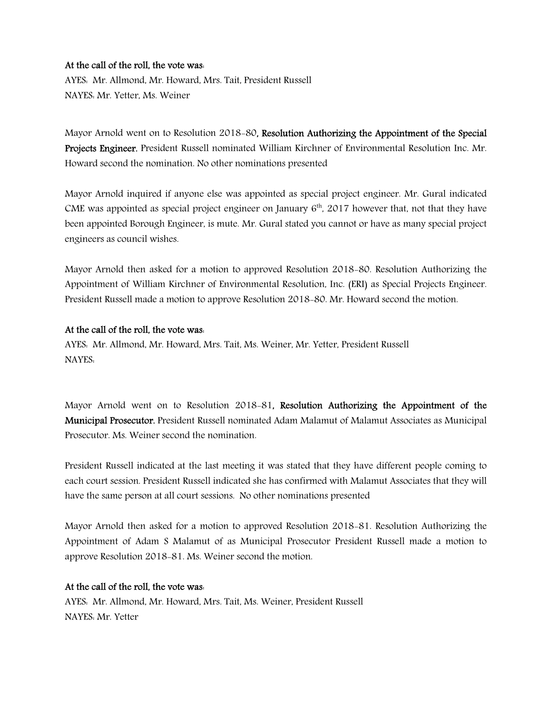#### At the call of the roll, the vote was:

AYES: Mr. Allmond, Mr. Howard, Mrs. Tait, President Russell NAYES: Mr. Yetter, Ms. Weiner

Mayor Arnold went on to Resolution 2018-80, Resolution Authorizing the Appointment of the Special Projects Engineer. President Russell nominated William Kirchner of Environmental Resolution Inc. Mr. Howard second the nomination. No other nominations presented

Mayor Arnold inquired if anyone else was appointed as special project engineer. Mr. Gural indicated CME was appointed as special project engineer on January  $6<sup>th</sup>$ , 2017 however that, not that they have been appointed Borough Engineer, is mute. Mr. Gural stated you cannot or have as many special project engineers as council wishes.

Mayor Arnold then asked for a motion to approved Resolution 2018-80. Resolution Authorizing the Appointment of William Kirchner of Environmental Resolution, Inc. (ERI) as Special Projects Engineer. President Russell made a motion to approve Resolution 2018-80. Mr. Howard second the motion.

#### At the call of the roll, the vote was:

AYES: Mr. Allmond, Mr. Howard, Mrs. Tait, Ms. Weiner, Mr. Yetter, President Russell NAYES:

Mayor Arnold went on to Resolution 2018-81, Resolution Authorizing the Appointment of the Municipal Prosecutor. President Russell nominated Adam Malamut of Malamut Associates as Municipal Prosecutor. Ms. Weiner second the nomination.

President Russell indicated at the last meeting it was stated that they have different people coming to each court session. President Russell indicated she has confirmed with Malamut Associates that they will have the same person at all court sessions. No other nominations presented

Mayor Arnold then asked for a motion to approved Resolution 2018-81. Resolution Authorizing the Appointment of Adam S Malamut of as Municipal Prosecutor President Russell made a motion to approve Resolution 2018-81. Ms. Weiner second the motion.

# At the call of the roll, the vote was:

AYES: Mr. Allmond, Mr. Howard, Mrs. Tait, Ms. Weiner, President Russell NAYES: Mr. Yetter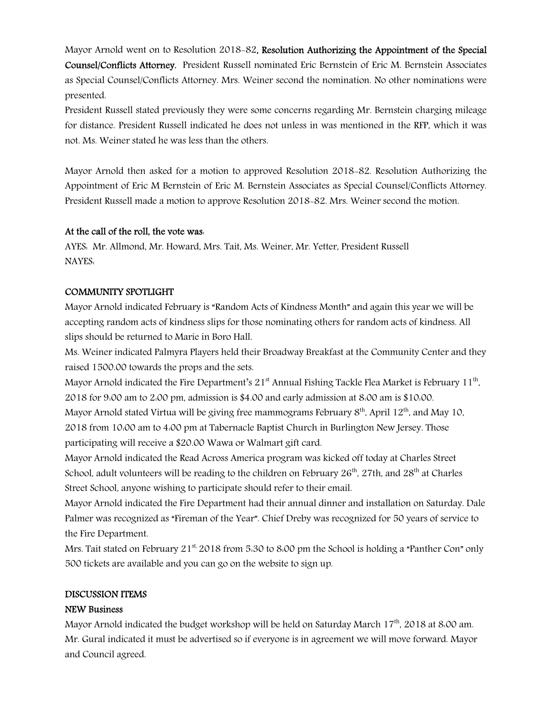Mayor Arnold went on to Resolution 2018-82, Resolution Authorizing the Appointment of the Special Counsel/Conflicts Attorney. President Russell nominated Eric Bernstein of Eric M. Bernstein Associates as Special Counsel/Conflicts Attorney. Mrs. Weiner second the nomination. No other nominations were presented.

President Russell stated previously they were some concerns regarding Mr. Bernstein charging mileage for distance. President Russell indicated he does not unless in was mentioned in the RFP, which it was not. Ms. Weiner stated he was less than the others.

Mayor Arnold then asked for a motion to approved Resolution 2018-82. Resolution Authorizing the Appointment of Eric M Bernstein of Eric M. Bernstein Associates as Special Counsel/Conflicts Attorney. President Russell made a motion to approve Resolution 2018-82. Mrs. Weiner second the motion.

# At the call of the roll, the vote was:

AYES: Mr. Allmond, Mr. Howard, Mrs. Tait, Ms. Weiner, Mr. Yetter, President Russell NAYES:

# COMMUNITY SPOTLIGHT

Mayor Arnold indicated February is "Random Acts of Kindness Month" and again this year we will be accepting random acts of kindness slips for those nominating others for random acts of kindness. All slips should be returned to Marie in Boro Hall.

Ms. Weiner indicated Palmyra Players held their Broadway Breakfast at the Community Center and they raised 1500.00 towards the props and the sets.

Mayor Arnold indicated the Fire Department's 21 $^{\rm st}$  Annual Fishing Tackle Flea Market is February 11 $^{\rm th}$ , 2018 for 9:00 am to 2:00 pm, admission is \$4.00 and early admission at 8:00 am is \$10:00.

Mayor Arnold stated Virtua will be giving free mammograms February  $8<sup>th</sup>$ , April 12<sup>th</sup>, and May 10, 2018 from 10:00 am to 4:00 pm at Tabernacle Baptist Church in Burlington New Jersey. Those participating will receive a \$20.00 Wawa or Walmart gift card.

Mayor Arnold indicated the Read Across America program was kicked off today at Charles Street School, adult volunteers will be reading to the children on February  $26<sup>th</sup>$ , 27th, and  $28<sup>th</sup>$  at Charles Street School, anyone wishing to participate should refer to their email.

Mayor Arnold indicated the Fire Department had their annual dinner and installation on Saturday. Dale Palmer was recognized as "Fireman of the Year". Chief Dreby was recognized for 50 years of service to the Fire Department.

Mrs. Tait stated on February  $21^{st}$  2018 from 5.30 to 8.00 pm the School is holding a "Panther Con" only 500 tickets are available and you can go on the website to sign up.

#### DISCUSSION ITEMS

# NEW Business

Mayor Arnold indicated the budget workshop will be held on Saturday March 17<sup>th</sup>, 2018 at 8:00 am. Mr. Gural indicated it must be advertised so if everyone is in agreement we will move forward. Mayor and Council agreed.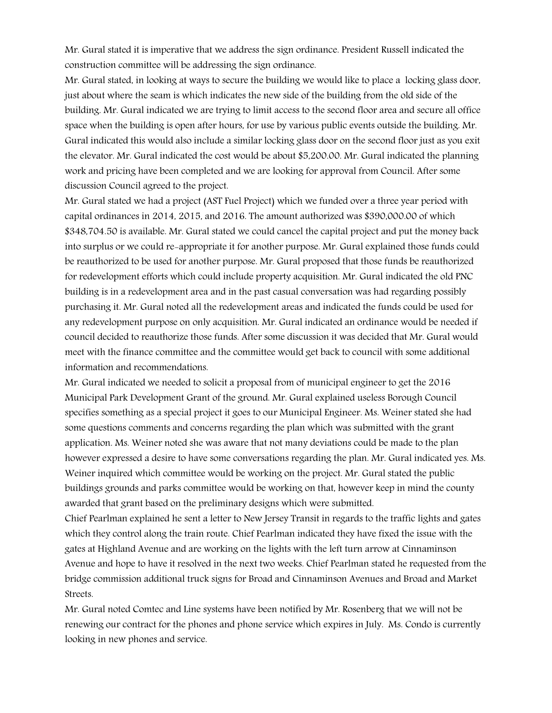Mr. Gural stated it is imperative that we address the sign ordinance. President Russell indicated the construction committee will be addressing the sign ordinance.

Mr. Gural stated, in looking at ways to secure the building we would like to place a locking glass door, just about where the seam is which indicates the new side of the building from the old side of the building. Mr. Gural indicated we are trying to limit access to the second floor area and secure all office space when the building is open after hours, for use by various public events outside the building. Mr. Gural indicated this would also include a similar locking glass door on the second floor just as you exit the elevator. Mr. Gural indicated the cost would be about \$5,200.00. Mr. Gural indicated the planning work and pricing have been completed and we are looking for approval from Council. After some discussion Council agreed to the project.

Mr. Gural stated we had a project (AST Fuel Project) which we funded over a three year period with capital ordinances in 2014, 2015, and 2016. The amount authorized was \$390,000.00 of which \$348,704.50 is available. Mr. Gural stated we could cancel the capital project and put the money back into surplus or we could re-appropriate it for another purpose. Mr. Gural explained those funds could be reauthorized to be used for another purpose. Mr. Gural proposed that those funds be reauthorized for redevelopment efforts which could include property acquisition. Mr. Gural indicated the old PNC building is in a redevelopment area and in the past casual conversation was had regarding possibly purchasing it. Mr. Gural noted all the redevelopment areas and indicated the funds could be used for any redevelopment purpose on only acquisition. Mr. Gural indicated an ordinance would be needed if council decided to reauthorize those funds. After some discussion it was decided that Mr. Gural would meet with the finance committee and the committee would get back to council with some additional information and recommendations.

Mr. Gural indicated we needed to solicit a proposal from of municipal engineer to get the 2016 Municipal Park Development Grant of the ground. Mr. Gural explained useless Borough Council specifies something as a special project it goes to our Municipal Engineer. Ms. Weiner stated she had some questions comments and concerns regarding the plan which was submitted with the grant application. Ms. Weiner noted she was aware that not many deviations could be made to the plan however expressed a desire to have some conversations regarding the plan. Mr. Gural indicated yes. Ms. Weiner inquired which committee would be working on the project. Mr. Gural stated the public buildings grounds and parks committee would be working on that, however keep in mind the county awarded that grant based on the preliminary designs which were submitted.

Chief Pearlman explained he sent a letter to New Jersey Transit in regards to the traffic lights and gates which they control along the train route. Chief Pearlman indicated they have fixed the issue with the gates at Highland Avenue and are working on the lights with the left turn arrow at Cinnaminson Avenue and hope to have it resolved in the next two weeks. Chief Pearlman stated he requested from the bridge commission additional truck signs for Broad and Cinnaminson Avenues and Broad and Market Streets.

Mr. Gural noted Comtec and Line systems have been notified by Mr. Rosenberg that we will not be renewing our contract for the phones and phone service which expires in July. Ms. Condo is currently looking in new phones and service.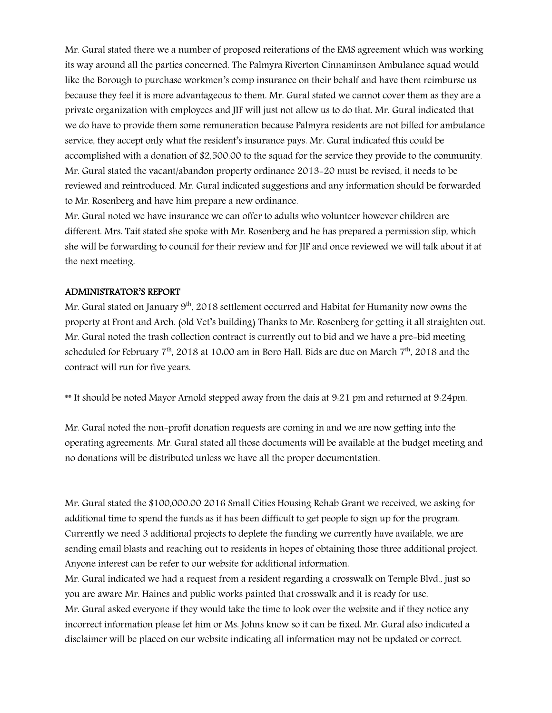Mr. Gural stated there we a number of proposed reiterations of the EMS agreement which was working its way around all the parties concerned. The Palmyra Riverton Cinnaminson Ambulance squad would like the Borough to purchase workmen's comp insurance on their behalf and have them reimburse us because they feel it is more advantageous to them. Mr. Gural stated we cannot cover them as they are a private organization with employees and JIF will just not allow us to do that. Mr. Gural indicated that we do have to provide them some remuneration because Palmyra residents are not billed for ambulance service, they accept only what the resident's insurance pays. Mr. Gural indicated this could be accomplished with a donation of \$2,500.00 to the squad for the service they provide to the community. Mr. Gural stated the vacant/abandon property ordinance 2013-20 must be revised, it needs to be reviewed and reintroduced. Mr. Gural indicated suggestions and any information should be forwarded to Mr. Rosenberg and have him prepare a new ordinance.

Mr. Gural noted we have insurance we can offer to adults who volunteer however children are different. Mrs. Tait stated she spoke with Mr. Rosenberg and he has prepared a permission slip, which she will be forwarding to council for their review and for JIF and once reviewed we will talk about it at the next meeting.

#### ADMINISTRATOR'S REPORT

Mr. Gural stated on January 9<sup>th</sup>, 2018 settlement occurred and Habitat for Humanity now owns the property at Front and Arch. (old Vet's building) Thanks to Mr. Rosenberg for getting it all straighten out. Mr. Gural noted the trash collection contract is currently out to bid and we have a pre-bid meeting scheduled for February  $7<sup>th</sup>$ , 2018 at 10:00 am in Boro Hall. Bids are due on March  $7<sup>th</sup>$ , 2018 and the contract will run for five years.

\*\* It should be noted Mayor Arnold stepped away from the dais at 9:21 pm and returned at 9:24pm.

Mr. Gural noted the non-profit donation requests are coming in and we are now getting into the operating agreements. Mr. Gural stated all those documents will be available at the budget meeting and no donations will be distributed unless we have all the proper documentation.

Mr. Gural stated the \$100,000.00 2016 Small Cities Housing Rehab Grant we received, we asking for additional time to spend the funds as it has been difficult to get people to sign up for the program. Currently we need 3 additional projects to deplete the funding we currently have available, we are sending email blasts and reaching out to residents in hopes of obtaining those three additional project. Anyone interest can be refer to our website for additional information.

Mr. Gural indicated we had a request from a resident regarding a crosswalk on Temple Blvd., just so you are aware Mr. Haines and public works painted that crosswalk and it is ready for use.

Mr. Gural asked everyone if they would take the time to look over the website and if they notice any incorrect information please let him or Ms. Johns know so it can be fixed. Mr. Gural also indicated a disclaimer will be placed on our website indicating all information may not be updated or correct.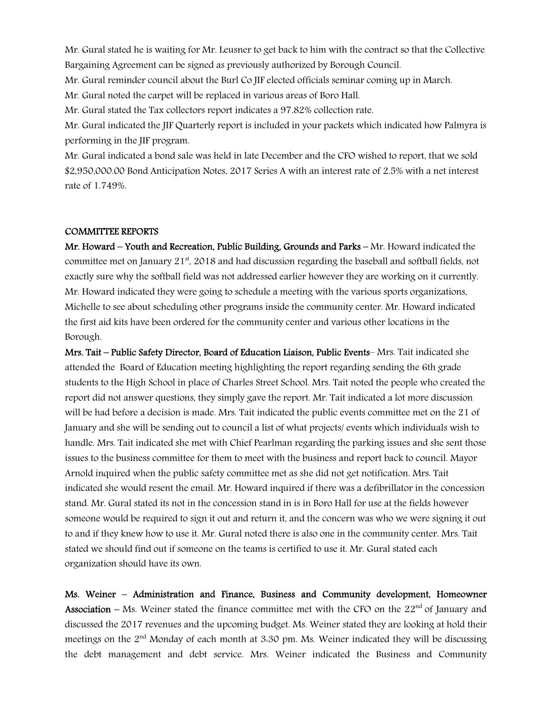Mr. Gural stated he is waiting for Mr. Leusner to get back to him with the contract so that the Collective Bargaining Agreement can be signed as previously authorized by Borough Council.

Mr. Gural reminder council about the Burl Co JIF elected officials seminar coming up in March.

Mr. Gural noted the carpet will be replaced in various areas of Boro Hall.

Mr. Gural stated the Tax collectors report indicates a 97.82% collection rate.

Mr. Gural indicated the JIF Quarterly report is included in your packets which indicated how Palmyra is performing in the JIF program.

Mr. Gural indicated a bond sale was held in late December and the CFO wished to report, that we sold \$2,950,000.00 Bond Anticipation Notes, 2017 Series A with an interest rate of 2.5% with a net interest rate of 1.749%.

#### COMMITTEE REPORTS

Mr. Howard – Youth and Recreation, Public Building, Grounds and Parks – Mr. Howard indicated the committee met on January  $21<sup>st</sup>$ , 2018 and had discussion regarding the baseball and softball fields, not exactly sure why the softball field was not addressed earlier however they are working on it currently. Mr. Howard indicated they were going to schedule a meeting with the various sports organizations, Michelle to see about scheduling other programs inside the community center. Mr. Howard indicated the first aid kits have been ordered for the community center and various other locations in the Borough.

Mrs. Tait – Public Safety Director, Board of Education Liaison, Public Events– Mrs. Tait indicated she attended the Board of Education meeting highlighting the report regarding sending the 6th grade students to the High School in place of Charles Street School. Mrs. Tait noted the people who created the report did not answer questions, they simply gave the report. Mr. Tait indicated a lot more discussion will be had before a decision is made. Mrs. Tait indicated the public events committee met on the 21 of January and she will be sending out to council a list of what projects/ events which individuals wish to handle. Mrs. Tait indicated she met with Chief Pearlman regarding the parking issues and she sent those issues to the business committee for them to meet with the business and report back to council. Mayor Arnold inquired when the public safety committee met as she did not get notification. Mrs. Tait indicated she would resent the email. Mr. Howard inquired if there was a defibrillator in the concession stand. Mr. Gural stated its not in the concession stand in is in Boro Hall for use at the fields however someone would be required to sign it out and return it, and the concern was who we were signing it out to and if they knew how to use it. Mr. Gural noted there is also one in the community center. Mrs. Tait stated we should find out if someone on the teams is certified to use it. Mr. Gural stated each organization should have its own.

Ms. Weiner – Administration and Finance, Business and Community development, Homeowner Association – Ms. Weiner stated the finance committee met with the CFO on the  $22<sup>nd</sup>$  of January and discussed the 2017 revenues and the upcoming budget. Ms. Weiner stated they are looking at hold their meetings on the 2<sup>nd</sup> Monday of each month at 3.30 pm. Ms. Weiner indicated they will be discussing the debt management and debt service. Mrs. Weiner indicated the Business and Community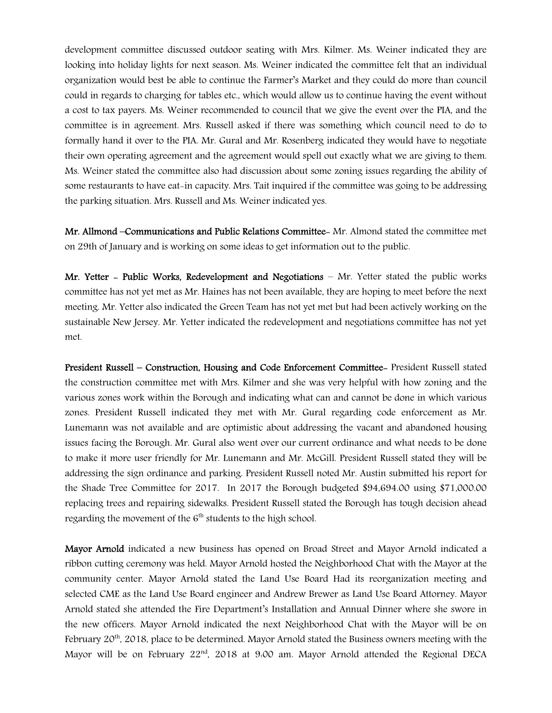development committee discussed outdoor seating with Mrs. Kilmer. Ms. Weiner indicated they are looking into holiday lights for next season. Ms. Weiner indicated the committee felt that an individual organization would best be able to continue the Farmer's Market and they could do more than council could in regards to charging for tables etc., which would allow us to continue having the event without a cost to tax payers. Ms. Weiner recommended to council that we give the event over the PIA, and the committee is in agreement. Mrs. Russell asked if there was something which council need to do to formally hand it over to the PIA. Mr. Gural and Mr. Rosenberg indicated they would have to negotiate their own operating agreement and the agreement would spell out exactly what we are giving to them. Ms. Weiner stated the committee also had discussion about some zoning issues regarding the ability of some restaurants to have eat-in capacity. Mrs. Tait inquired if the committee was going to be addressing the parking situation. Mrs. Russell and Ms. Weiner indicated yes.

Mr. Allmond –Communications and Public Relations Committee- Mr. Almond stated the committee met on 29th of January and is working on some ideas to get information out to the public.

Mr. Yetter - Public Works, Redevelopment and Negotiations - Mr. Yetter stated the public works committee has not yet met as Mr. Haines has not been available, they are hoping to meet before the next meeting. Mr. Yetter also indicated the Green Team has not yet met but had been actively working on the sustainable New Jersey. Mr. Yetter indicated the redevelopment and negotiations committee has not yet met.

President Russell – Construction, Housing and Code Enforcement Committee- President Russell stated the construction committee met with Mrs. Kilmer and she was very helpful with how zoning and the various zones work within the Borough and indicating what can and cannot be done in which various zones. President Russell indicated they met with Mr. Gural regarding code enforcement as Mr. Lunemann was not available and are optimistic about addressing the vacant and abandoned housing issues facing the Borough. Mr. Gural also went over our current ordinance and what needs to be done to make it more user friendly for Mr. Lunemann and Mr. McGill. President Russell stated they will be addressing the sign ordinance and parking. President Russell noted Mr. Austin submitted his report for the Shade Tree Committee for 2017. In 2017 the Borough budgeted \$94,694.00 using \$71,000.00 replacing trees and repairing sidewalks. President Russell stated the Borough has tough decision ahead regarding the movement of the  $6<sup>th</sup>$  students to the high school.

Mayor Arnold indicated a new business has opened on Broad Street and Mayor Arnold indicated a ribbon cutting ceremony was held. Mayor Arnold hosted the Neighborhood Chat with the Mayor at the community center. Mayor Arnold stated the Land Use Board Had its reorganization meeting and selected CME as the Land Use Board engineer and Andrew Brewer as Land Use Board Attorney. Mayor Arnold stated she attended the Fire Department's Installation and Annual Dinner where she swore in the new officers. Mayor Arnold indicated the next Neighborhood Chat with the Mayor will be on February 20<sup>th</sup>, 2018, place to be determined. Mayor Arnold stated the Business owners meeting with the Mayor will be on February  $22<sup>nd</sup>$ , 2018 at 9.00 am. Mayor Arnold attended the Regional DECA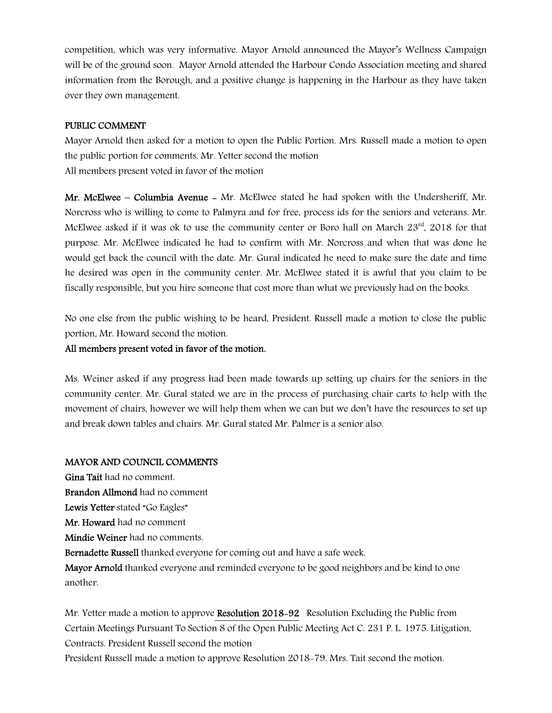competition, which was very informative. Mayor Arnold announced the Mayor's Wellness Campaign will be of the ground soon. Mayor Arnold attended the Harbour Condo Association meeting and shared information from the Borough, and a positive change is happening in the Harbour as they have taken over they own management.

### PUBLIC COMMENT

Mayor Arnold then asked for a motion to open the Public Portion. Mrs. Russell made a motion to open the public portion for comments. Mr. Yetter second the motion All members present voted in favor of the motion

Mr. McElwee – Columbia Avenue - Mr. McElwee stated he had spoken with the Undersheriff, Mr. Norcross who is willing to come to Palmyra and for free, process ids for the seniors and veterans. Mr. McElwee asked if it was ok to use the community center or Boro hall on March  $23<sup>rd</sup>$ , 2018 for that purpose. Mr. McElwee indicated he had to confirm with Mr. Norcross and when that was done he would get back the council with the date. Mr. Gural indicated he need to make sure the date and time he desired was open in the community center. Mr. McElwee stated it is awful that you claim to be fiscally responsible, but you hire someone that cost more than what we previously had on the books.

No one else from the public wishing to be heard, President. Russell made a motion to close the public portion, Mr. Howard second the motion.

### All members present voted in favor of the motion.

Ms. Weiner asked if any progress had been made towards up setting up chairs for the seniors in the community center. Mr. Gural stated we are in the process of purchasing chair carts to help with the movement of chairs, however we will help them when we can but we don't have the resources to set up and break down tables and chairs. Mr. Gural stated Mr. Palmer is a senior also.

#### MAYOR AND COUNCIL COMMENTS

Gina Tait had no comment.

Brandon Allmond had no comment

Lewis Yetter stated "Go Eagles"

Mr. Howard had no comment

Mindie Weiner had no comments.

Bernadette Russell thanked everyone for coming out and have a safe week.

Mayor Arnold thanked everyone and reminded everyone to be good neighbors and be kind to one another.

Mr. Yetter made a motion to approve Resolution 2018-92 Resolution Excluding the Public from Certain Meetings Pursuant To Section 8 of the Open Public Meeting Act C. 231 P. L. 1975. Litigation, Contracts. President Russell second the motion

President Russell made a motion to approve Resolution 2018-79. Mrs. Tait second the motion.